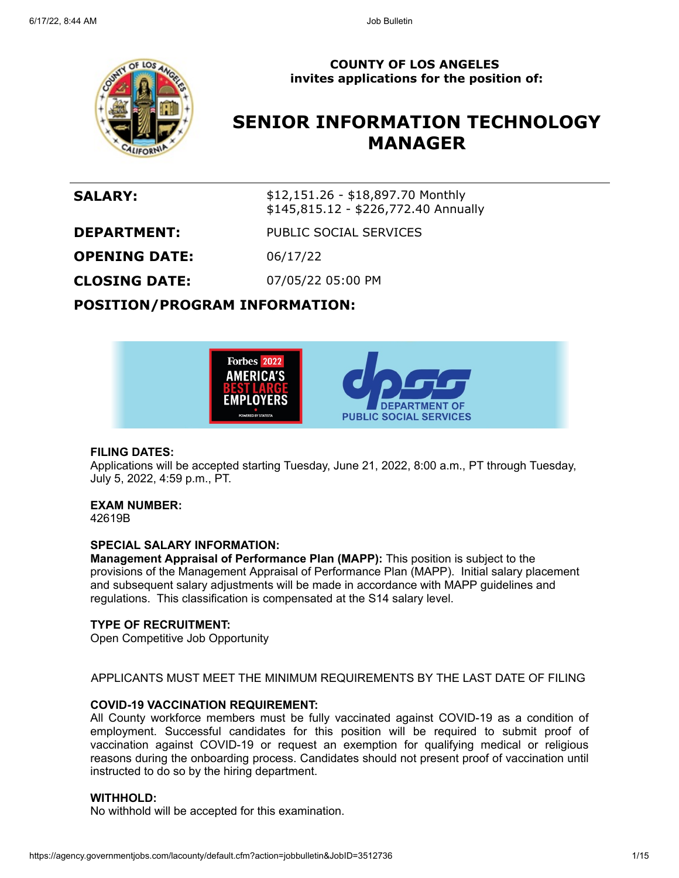

#### **COUNTY OF LOS ANGELES invites applications for the position of:**

# **SENIOR INFORMATION TECHNOLOGY MANAGER**

**SALARY:** \$12,151.26 - \$18,897.70 Monthly \$145,815.12 - \$226,772.40 Annually

**DEPARTMENT:** PUBLIC SOCIAL SERVICES

**OPENING DATE:** 06/17/22

**CLOSING DATE:** 07/05/22 05:00 PM

**POSITION/PROGRAM INFORMATION:**



#### **FILING DATES:**

Applications will be accepted starting Tuesday, June 21, 2022, 8:00 a.m., PT through Tuesday, July 5, 2022, 4:59 p.m., PT.

#### **EXAM NUMBER:**

42619B

#### **SPECIAL SALARY INFORMATION:**

**Management Appraisal of Performance Plan (MAPP):** This position is subject to the provisions of the Management Appraisal of Performance Plan (MAPP). Initial salary placement and subsequent salary adjustments will be made in accordance with MAPP guidelines and regulations. This classification is compensated at the S14 salary level.

#### **TYPE OF RECRUITMENT:**

Open Competitive Job Opportunity

#### APPLICANTS MUST MEET THE MINIMUM REQUIREMENTS BY THE LAST DATE OF FILING

#### **COVID-19 VACCINATION REQUIREMENT:**

All County workforce members must be fully vaccinated against COVID-19 as a condition of employment. Successful candidates for this position will be required to submit proof of vaccination against COVID-19 or request an exemption for qualifying medical or religious reasons during the onboarding process. Candidates should not present proof of vaccination until instructed to do so by the hiring department.

#### **WITHHOLD:**

No withhold will be accepted for this examination.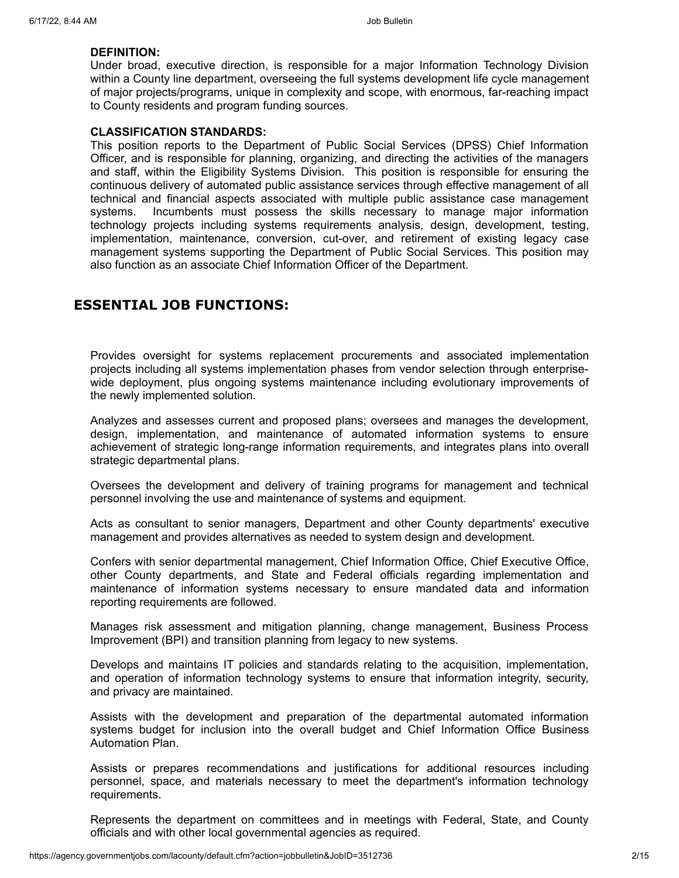#### **DEFINITION:**

Under broad, executive direction, is responsible for a major Information Technology Division within a County line department, overseeing the full systems development life cycle management of major projects/programs, unique in complexity and scope, with enormous, far-reaching impact to County residents and program funding sources.

#### **CLASSIFICATION STANDARDS:**

This position reports to the Department of Public Social Services (DPSS) Chief Information Officer, and is responsible for planning, organizing, and directing the activities of the managers and staff, within the Eligibility Systems Division. This position is responsible for ensuring the continuous delivery of automated public assistance services through effective management of all technical and financial aspects associated with multiple public assistance case management systems. Incumbents must possess the skills necessary to manage major information technology projects including systems requirements analysis, design, development, testing, implementation, maintenance, conversion, cut-over, and retirement of existing legacy case management systems supporting the Department of Public Social Services. This position may also function as an associate Chief Information Officer of the Department.

## **ESSENTIAL JOB FUNCTIONS:**

Provides oversight for systems replacement procurements and associated implementation projects including all systems implementation phases from vendor selection through enterprisewide deployment, plus ongoing systems maintenance including evolutionary improvements of the newly implemented solution.

Analyzes and assesses current and proposed plans; oversees and manages the development, design, implementation, and maintenance of automated information systems to ensure achievement of strategic long-range information requirements, and integrates plans into overall strategic departmental plans.

Oversees the development and delivery of training programs for management and technical personnel involving the use and maintenance of systems and equipment.

Acts as consultant to senior managers, Department and other County departments' executive management and provides alternatives as needed to system design and development.

Confers with senior departmental management, Chief Information Office, Chief Executive Office, other County departments, and State and Federal officials regarding implementation and maintenance of information systems necessary to ensure mandated data and information reporting requirements are followed.

Manages risk assessment and mitigation planning, change management, Business Process Improvement (BPI) and transition planning from legacy to new systems.

Develops and maintains IT policies and standards relating to the acquisition, implementation, and operation of information technology systems to ensure that information integrity, security, and privacy are maintained.

Assists with the development and preparation of the departmental automated information systems budget for inclusion into the overall budget and Chief Information Office Business Automation Plan.

Assists or prepares recommendations and justifications for additional resources including personnel, space, and materials necessary to meet the department's information technology requirements.

Represents the department on committees and in meetings with Federal, State, and County officials and with other local governmental agencies as required.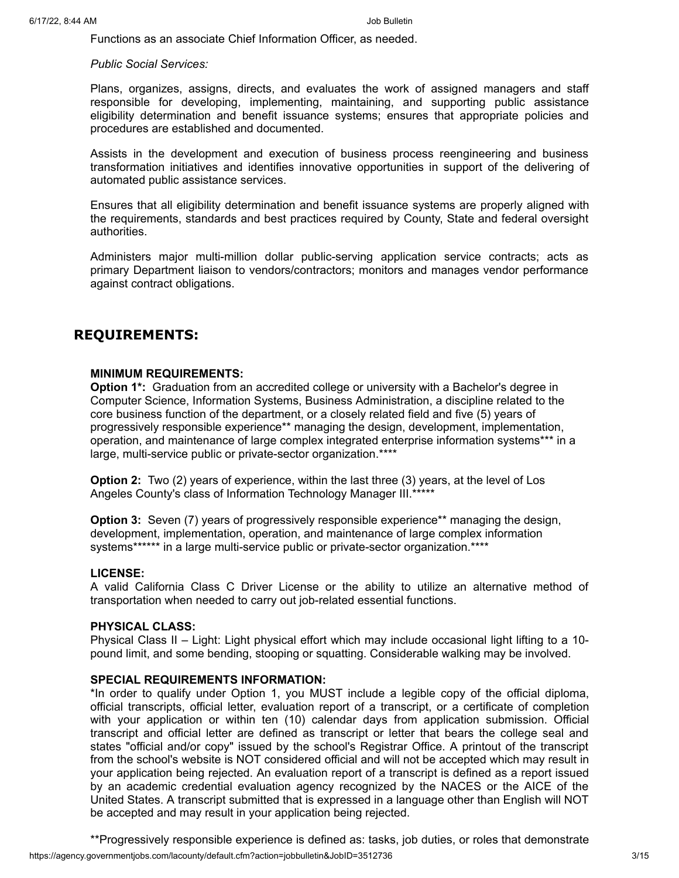Functions as an associate Chief Information Officer, as needed.

*Public Social Services:*

Plans, organizes, assigns, directs, and evaluates the work of assigned managers and staff responsible for developing, implementing, maintaining, and supporting public assistance eligibility determination and benefit issuance systems; ensures that appropriate policies and procedures are established and documented.

Assists in the development and execution of business process reengineering and business transformation initiatives and identifies innovative opportunities in support of the delivering of automated public assistance services.

Ensures that all eligibility determination and benefit issuance systems are properly aligned with the requirements, standards and best practices required by County, State and federal oversight authorities.

Administers major multi-million dollar public-serving application service contracts; acts as primary Department liaison to vendors/contractors; monitors and manages vendor performance against contract obligations.

# **REQUIREMENTS:**

#### **MINIMUM REQUIREMENTS:**

**Option 1\*:** Graduation from an accredited college or university with a Bachelor's degree in Computer Science, Information Systems, Business Administration, a discipline related to the core business function of the department, or a closely related field and five (5) years of progressively responsible experience\*\* managing the design, development, implementation, operation, and maintenance of large complex integrated enterprise information systems\*\*\* in a large, multi-service public or private-sector organization.\*\*\*\*

**Option 2:** Two (2) years of experience, within the last three (3) years, at the level of Los Angeles County's class of Information Technology Manager III.\*\*\*\*\*

**Option 3:** Seven (7) years of progressively responsible experience\*\* managing the design, development, implementation, operation, and maintenance of large complex information systems\*\*\*\*\*\* in a large multi-service public or private-sector organization.\*\*\*\*

#### **LICENSE:**

A valid California Class C Driver License or the ability to utilize an alternative method of transportation when needed to carry out job-related essential functions.

#### **PHYSICAL CLASS:**

Physical Class II – Light: Light physical effort which may include occasional light lifting to a 10 pound limit, and some bending, stooping or squatting. Considerable walking may be involved.

#### **SPECIAL REQUIREMENTS INFORMATION:**

\*In order to qualify under Option 1, you MUST include a legible copy of the official diploma, official transcripts, official letter, evaluation report of a transcript, or a certificate of completion with your application or within ten (10) calendar days from application submission. Official transcript and official letter are defined as transcript or letter that bears the college seal and states "official and/or copy" issued by the school's Registrar Office. A printout of the transcript from the school's website is NOT considered official and will not be accepted which may result in your application being rejected. An evaluation report of a transcript is defined as a report issued by an academic credential evaluation agency recognized by the NACES or the AICE of the United States. A transcript submitted that is expressed in a language other than English will NOT be accepted and may result in your application being rejected.

https://agency.governmentjobs.com/lacounty/default.cfm?action=jobbulletin&JobID=3512736 3/15 \*\*Progressively responsible experience is defined as: tasks, job duties, or roles that demonstrate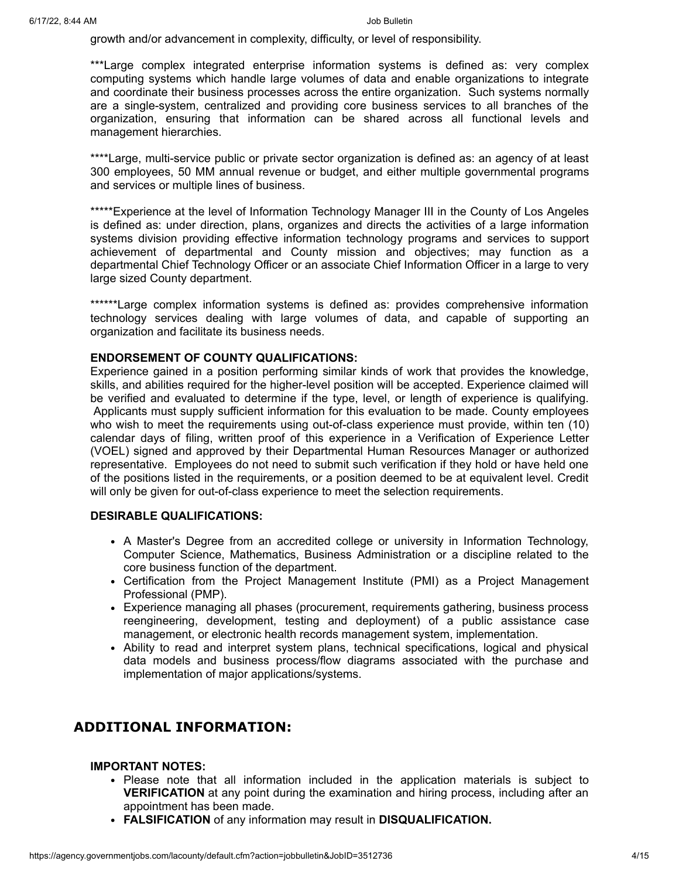growth and/or advancement in complexity, difficulty, or level of responsibility.

\*\*\*Large complex integrated enterprise information systems is defined as: very complex computing systems which handle large volumes of data and enable organizations to integrate and coordinate their business processes across the entire organization. Such systems normally are a single-system, centralized and providing core business services to all branches of the organization, ensuring that information can be shared across all functional levels and management hierarchies.

\*\*\*\*Large, multi-service public or private sector organization is defined as: an agency of at least 300 employees, 50 MM annual revenue or budget, and either multiple governmental programs and services or multiple lines of business.

\*\*\*\*\*Experience at the level of Information Technology Manager III in the County of Los Angeles is defined as: under direction, plans, organizes and directs the activities of a large information systems division providing effective information technology programs and services to support achievement of departmental and County mission and objectives; may function as a departmental Chief Technology Officer or an associate Chief Information Officer in a large to very large sized County department.

\*\*\*\*\*\*Large complex information systems is defined as: provides comprehensive information technology services dealing with large volumes of data, and capable of supporting an organization and facilitate its business needs.

#### **ENDORSEMENT OF COUNTY QUALIFICATIONS:**

Experience gained in a position performing similar kinds of work that provides the knowledge, skills, and abilities required for the higher-level position will be accepted. Experience claimed will be verified and evaluated to determine if the type, level, or length of experience is qualifying. Applicants must supply sufficient information for this evaluation to be made. County employees who wish to meet the requirements using out-of-class experience must provide, within ten (10) calendar days of filing, written proof of this experience in a Verification of Experience Letter (VOEL) signed and approved by their Departmental Human Resources Manager or authorized representative. Employees do not need to submit such verification if they hold or have held one of the positions listed in the requirements, or a position deemed to be at equivalent level. Credit will only be given for out-of-class experience to meet the selection requirements.

#### **DESIRABLE QUALIFICATIONS:**

- A Master's Degree from an accredited college or university in Information Technology, Computer Science, Mathematics, Business Administration or a discipline related to the core business function of the department.
- Certification from the Project Management Institute (PMI) as a Project Management Professional (PMP).
- Experience managing all phases (procurement, requirements gathering, business process reengineering, development, testing and deployment) of a public assistance case management, or electronic health records management system, implementation.
- Ability to read and interpret system plans, technical specifications, logical and physical data models and business process/flow diagrams associated with the purchase and implementation of major applications/systems.

# **ADDITIONAL INFORMATION:**

#### **IMPORTANT NOTES:**

- Please note that all information included in the application materials is subject to **VERIFICATION** at any point during the examination and hiring process, including after an appointment has been made.
- **FALSIFICATION** of any information may result in **DISQUALIFICATION.**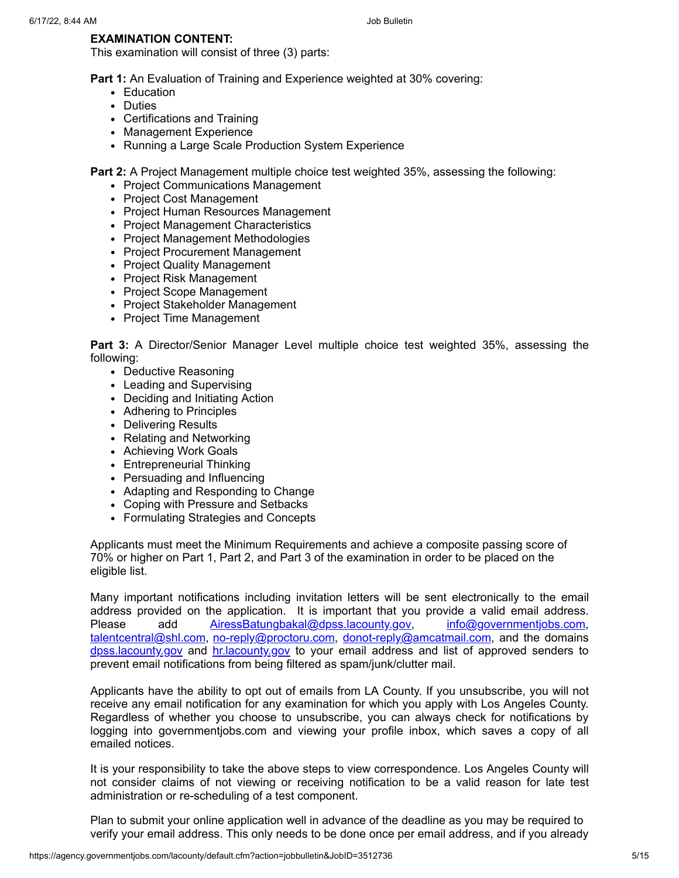### **EXAMINATION CONTENT:**

This examination will consist of three (3) parts:

**Part 1:** An Evaluation of Training and Experience weighted at 30% covering:

- Education
- Duties
- Certifications and Training
- Management Experience
- Running a Large Scale Production System Experience

**Part 2:** A Project Management multiple choice test weighted 35%, assessing the following:

- Project Communications Management
- Project Cost Management
- Project Human Resources Management
- Project Management Characteristics
- Project Management Methodologies
- Project Procurement Management
- Project Quality Management
- Project Risk Management
- Project Scope Management
- Project Stakeholder Management
- Project Time Management

**Part 3:** A Director/Senior Manager Level multiple choice test weighted 35%, assessing the following:

- Deductive Reasoning
- Leading and Supervising
- Deciding and Initiating Action
- Adhering to Principles
- Delivering Results
- Relating and Networking
- Achieving Work Goals
- Entrepreneurial Thinking
- Persuading and Influencing
- Adapting and Responding to Change
- Coping with Pressure and Setbacks
- Formulating Strategies and Concepts

Applicants must meet the Minimum Requirements and achieve a composite passing score of 70% or higher on Part 1, Part 2, and Part 3 of the examination in order to be placed on the eligible list.

Many important notifications including invitation letters will be sent electronically to the email address provided on the application. It is important that you provide a valid email address. Please add [AiressBatungbakal@dpss.lacounty.gov,](mailto:AiressBatungbakal@dpss.lacounty.gov) [info@governmentjobs.com](mailto:info@governmentjobs.com), [talentcentral@shl.com,](mailto:talentcentral@shl.com) [no-reply@proctoru.com,](mailto:no-reply@proctoru.com) [donot-reply@amcatmail.com](mailto:donot-reply@amcatmail.com), and the domains [dpss.lacounty.gov](mailto:dpss.lacounty.gov) and [hr.lacounty.gov](mailto:hr.lacounty.gov) to your email address and list of approved senders to prevent email notifications from being filtered as spam/junk/clutter mail.

Applicants have the ability to opt out of emails from LA County. If you unsubscribe, you will not receive any email notification for any examination for which you apply with Los Angeles County. Regardless of whether you choose to unsubscribe, you can always check for notifications by logging into governmentjobs.com and viewing your profile inbox, which saves a copy of all emailed notices.

It is your responsibility to take the above steps to view correspondence. Los Angeles County will not consider claims of not viewing or receiving notification to be a valid reason for late test administration or re-scheduling of a test component.

Plan to submit your online application well in advance of the deadline as you may be required to verify your email address. This only needs to be done once per email address, and if you already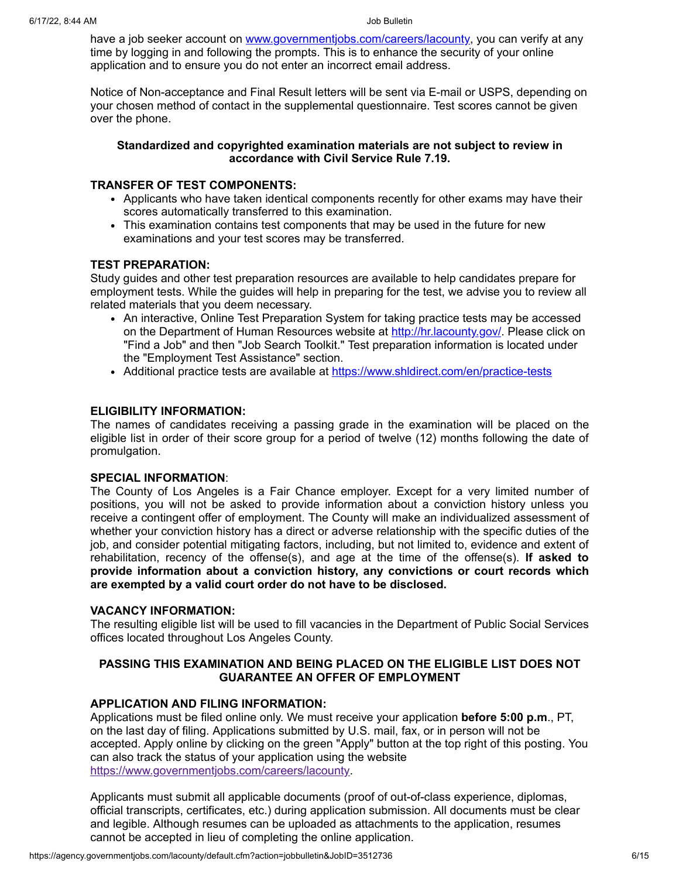have a job seeker account on [www.governmentjobs.com/careers/lacounty](http://www.governmentjobs.com/careers/lacounty), you can verify at any time by logging in and following the prompts. This is to enhance the security of your online application and to ensure you do not enter an incorrect email address.

Notice of Non-acceptance and Final Result letters will be sent via E-mail or USPS, depending on your chosen method of contact in the supplemental questionnaire. Test scores cannot be given over the phone.

#### **Standardized and copyrighted examination materials are not subject to review in accordance with Civil Service Rule 7.19.**

#### **TRANSFER OF TEST COMPONENTS:**

- Applicants who have taken identical components recently for other exams may have their scores automatically transferred to this examination.
- This examination contains test components that may be used in the future for new examinations and your test scores may be transferred.

### **TEST PREPARATION:**

Study guides and other test preparation resources are available to help candidates prepare for employment tests. While the guides will help in preparing for the test, we advise you to review all related materials that you deem necessary.

- An interactive, Online Test Preparation System for taking practice tests may be accessed on the Department of Human Resources website at <http://hr.lacounty.gov/>. Please click on "Find a Job" and then "Job Search Toolkit." Test preparation information is located under the "Employment Test Assistance" section.
- Additional practice tests are available at <https://www.shldirect.com/en/practice-tests>

### **ELIGIBILITY INFORMATION:**

The names of candidates receiving a passing grade in the examination will be placed on the eligible list in order of their score group for a period of twelve (12) months following the date of promulgation.

#### **SPECIAL INFORMATION**:

The County of Los Angeles is a Fair Chance employer. Except for a very limited number of positions, you will not be asked to provide information about a conviction history unless you receive a contingent offer of employment. The County will make an individualized assessment of whether your conviction history has a direct or adverse relationship with the specific duties of the job, and consider potential mitigating factors, including, but not limited to, evidence and extent of rehabilitation, recency of the offense(s), and age at the time of the offense(s). **If asked to provide information about a conviction history, any convictions or court records which are exempted by a valid court order do not have to be disclosed.**

#### **VACANCY INFORMATION:**

The resulting eligible list will be used to fill vacancies in the Department of Public Social Services offices located throughout Los Angeles County.

### **PASSING THIS EXAMINATION AND BEING PLACED ON THE ELIGIBLE LIST DOES NOT GUARANTEE AN OFFER OF EMPLOYMENT**

#### **APPLICATION AND FILING INFORMATION:**

Applications must be filed online only. We must receive your application **before 5:00 p.m**., PT, on the last day of filing. Applications submitted by U.S. mail, fax, or in person will not be accepted. Apply online by clicking on the green "Apply" button at the top right of this posting. You can also track the status of your application using the website [https://www.governmentjobs.com/careers/lacounty.](https://www.governmentjobs.com/careers/lacounty)

Applicants must submit all applicable documents (proof of out-of-class experience, diplomas, official transcripts, certificates, etc.) during application submission. All documents must be clear and legible. Although resumes can be uploaded as attachments to the application, resumes cannot be accepted in lieu of completing the online application.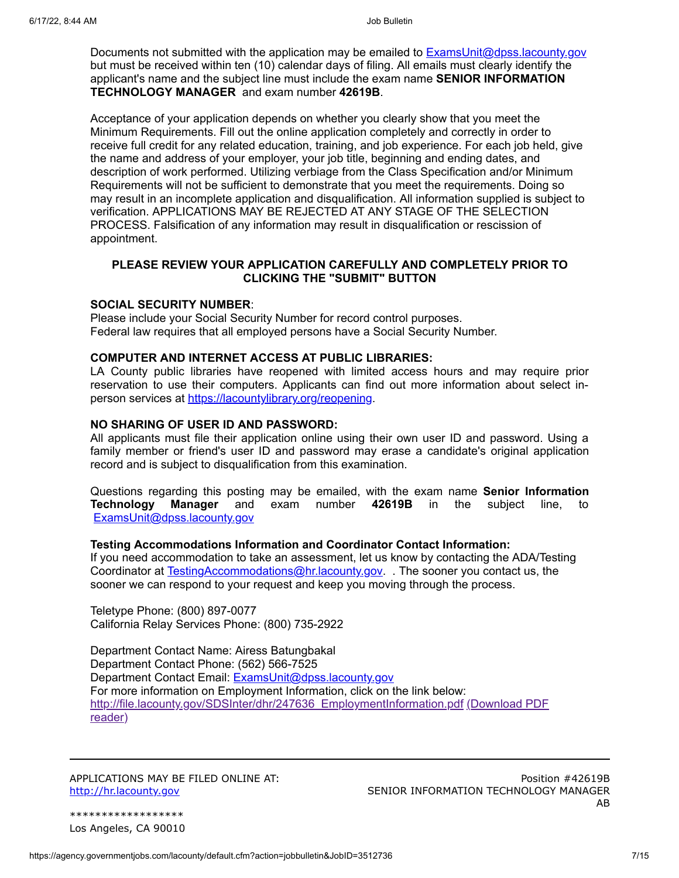Documents not submitted with the application may be emailed to **ExamsUnit@dpss.lacounty.gov** but must be received within ten (10) calendar days of filing. All emails must clearly identify the applicant's name and the subject line must include the exam name **SENIOR INFORMATION TECHNOLOGY MANAGER** and exam number **42619B**.

Acceptance of your application depends on whether you clearly show that you meet the Minimum Requirements. Fill out the online application completely and correctly in order to receive full credit for any related education, training, and job experience. For each job held, give the name and address of your employer, your job title, beginning and ending dates, and description of work performed. Utilizing verbiage from the Class Specification and/or Minimum Requirements will not be sufficient to demonstrate that you meet the requirements. Doing so may result in an incomplete application and disqualification. All information supplied is subject to verification. APPLICATIONS MAY BE REJECTED AT ANY STAGE OF THE SELECTION PROCESS. Falsification of any information may result in disqualification or rescission of appointment.

#### **PLEASE REVIEW YOUR APPLICATION CAREFULLY AND COMPLETELY PRIOR TO CLICKING THE "SUBMIT" BUTTON**

#### **SOCIAL SECURITY NUMBER**:

Please include your Social Security Number for record control purposes. Federal law requires that all employed persons have a Social Security Number.

#### **COMPUTER AND INTERNET ACCESS AT PUBLIC LIBRARIES:**

LA County public libraries have reopened with limited access hours and may require prior reservation to use their computers. Applicants can find out more information about select inperson services at [https://lacountylibrary.org/reopening.](https://lacountylibrary.org/reopening)

#### **NO SHARING OF USER ID AND PASSWORD:**

All applicants must file their application online using their own user ID and password. Using a family member or friend's user ID and password may erase a candidate's original application record and is subject to disqualification from this examination.

Questions regarding this posting may be emailed, with the exam name **Senior Information Technology Manager** and exam number **42619B** in the subject line, to [ExamsUnit@dpss.lacounty.gov](mailto:ExamsUnit@dpss.lacounty.gov)

#### **Testing Accommodations Information and Coordinator Contact Information:**

If you need accommodation to take an assessment, let us know by contacting the ADA/Testing Coordinator at **[TestingAccommodations@hr.lacounty.gov.](mailto:TestingAccommodations@hr.lacounty.gov)** The sooner you contact us, the sooner we can respond to your request and keep you moving through the process.

Teletype Phone: (800) 897-0077 California Relay Services Phone: (800) 735-2922

Department Contact Name: Airess Batungbakal Department Contact Phone: (562) 566-7525 Department Contact Email: [ExamsUnit@dpss.lacounty.gov](mailto:ExamsUnit@dpss.lacounty.gov) For more information on Employment Information, click on the link below: [http://file.lacounty.gov/SDSInter/dhr/247636\\_EmploymentInformation.pdf](http://file.lacounty.gov/SDSInter/dhr/247636_EmploymentInformation.pdf) (Download PDF reader)

APPLICATIONS MAY BE FILED ONLINE AT: [http://hr.lacounty.gov](http://hr.lacounty.gov/)

Position #42619B SENIOR INFORMATION TECHNOLOGY MANAGER AB

\*\*\*\*\*\*\*\*\*\*\*\*\*\*\*\*\*\* Los Angeles, CA 90010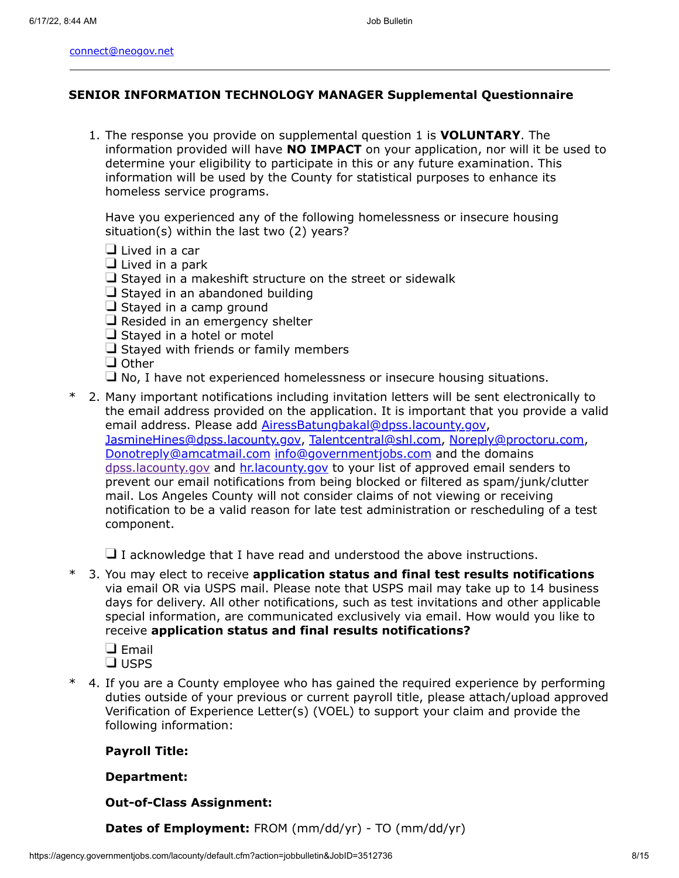#### **SENIOR INFORMATION TECHNOLOGY MANAGER Supplemental Questionnaire**

1. The response you provide on supplemental question 1 is **VOLUNTARY**. The information provided will have **NO IMPACT** on your application, nor will it be used to determine your eligibility to participate in this or any future examination. This information will be used by the County for statistical purposes to enhance its homeless service programs.

Have you experienced any of the following homelessness or insecure housing situation(s) within the last two (2) years?

- $\Box$  Lived in a car
- $\Box$  Lived in a park
- $\Box$  Stayed in a makeshift structure on the street or sidewalk
- $\Box$  Stayed in an abandoned building
- $\Box$  Stayed in a camp ground
- $\Box$  Resided in an emergency shelter
- $\Box$  Stayed in a hotel or motel
- $\Box$  Stayed with friends or family members
- □ Other
- $\Box$  No, I have not experienced homelessness or insecure housing situations.
- \* 2. Many important notifications including invitation letters will be sent electronically to the email address provided on the application. It is important that you provide a valid email address. Please add **AiressBatungbakal@dpss.lacounty.gov,** [JasmineHines@dpss.lacounty.gov](mailto:JasmineHines@dpss.lacounty.gov), [Talentcentral@shl.com,](mailto:Talentcentral@shl.com) [Noreply@proctoru.com,](mailto:Noreply@proctoru.com) [Donotreply@amcatmail.com](mailto:Donotreply@amcatmail.com) [info@governmentjobs.com](mailto:info@governmentjobs.com) and the domains [dpss.lacounty.gov](http://dpss.lacounty.gov/) and [hr.lacounty.gov](http://hr.lacounty.gov/) to your list of approved email senders to prevent our email notifications from being blocked or filtered as spam/junk/clutter mail. Los Angeles County will not consider claims of not viewing or receiving notification to be a valid reason for late test administration or rescheduling of a test component.

 $\Box$  I acknowledge that I have read and understood the above instructions.

- \* 3. You may elect to receive **application status and final test results notifications** via email OR via USPS mail. Please note that USPS mail may take up to 14 business days for delivery. All other notifications, such as test invitations and other applicable special information, are communicated exclusively via email. How would you like to receive **application status and final results notifications?**
	- $\square$  Email  $\square$  USPS
	-
- \* 4. If you are a County employee who has gained the required experience by performing duties outside of your previous or current payroll title, please attach/upload approved Verification of Experience Letter(s) (VOEL) to support your claim and provide the following information:

#### **Payroll Title:**

#### **Department:**

#### **Out-of-Class Assignment:**

**Dates of Employment:** FROM (mm/dd/yr) - TO (mm/dd/yr)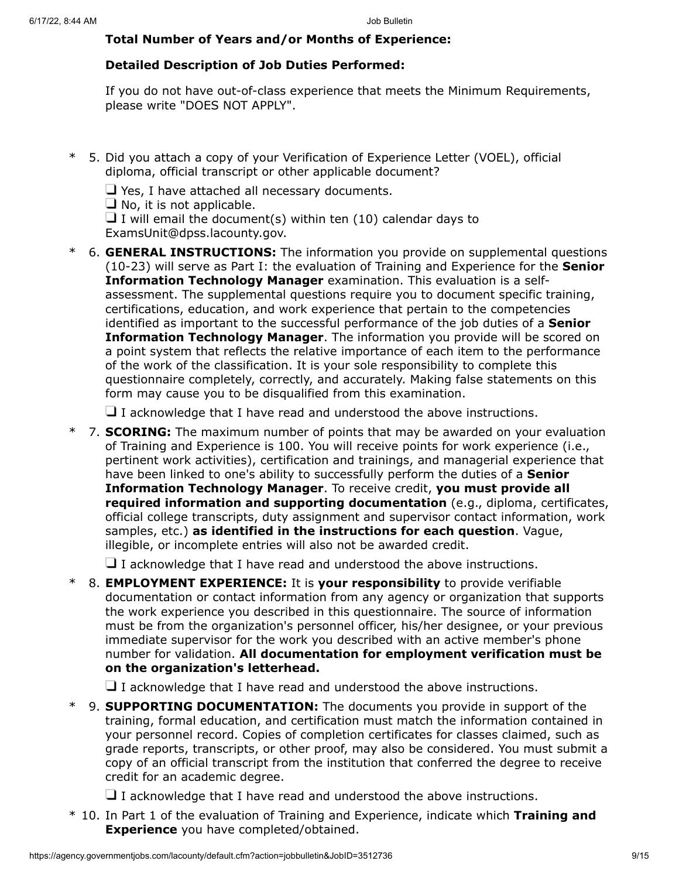# **Total Number of Years and/or Months of Experience:**

# **Detailed Description of Job Duties Performed:**

If you do not have out-of-class experience that meets the Minimum Requirements, please write "DOES NOT APPLY".

- \* 5. Did you attach a copy of your Verification of Experience Letter (VOEL), official diploma, official transcript or other applicable document?
	- $\Box$  Yes, I have attached all necessary documents.
	- $\Box$  No, it is not applicable.

 $\Box$  I will email the document(s) within ten (10) calendar days to ExamsUnit@dpss.lacounty.gov.

\* 6. **GENERAL INSTRUCTIONS:** The information you provide on supplemental questions (10-23) will serve as Part I: the evaluation of Training and Experience for the **Senior Information Technology Manager** examination. This evaluation is a selfassessment. The supplemental questions require you to document specific training, certifications, education, and work experience that pertain to the competencies identified as important to the successful performance of the job duties of a **Senior Information Technology Manager**. The information you provide will be scored on a point system that reflects the relative importance of each item to the performance of the work of the classification. It is your sole responsibility to complete this questionnaire completely, correctly, and accurately. Making false statements on this form may cause you to be disqualified from this examination.

 $\Box$  I acknowledge that I have read and understood the above instructions.

\* 7. **SCORING:** The maximum number of points that may be awarded on your evaluation of Training and Experience is 100. You will receive points for work experience (i.e., pertinent work activities), certification and trainings, and managerial experience that have been linked to one's ability to successfully perform the duties of a **Senior Information Technology Manager**. To receive credit, **you must provide all required information and supporting documentation** (e.g., diploma, certificates, official college transcripts, duty assignment and supervisor contact information, work samples, etc.) **as identified in the instructions for each question**. Vague, illegible, or incomplete entries will also not be awarded credit.

 $\Box$  I acknowledge that I have read and understood the above instructions.

\* 8. **EMPLOYMENT EXPERIENCE:** It is **your responsibility** to provide verifiable documentation or contact information from any agency or organization that supports the work experience you described in this questionnaire. The source of information must be from the organization's personnel officer, his/her designee, or your previous immediate supervisor for the work you described with an active member's phone number for validation. **All documentation for employment verification must be on the organization's letterhead.**

 $\Box$  I acknowledge that I have read and understood the above instructions.

9. **SUPPORTING DOCUMENTATION:** The documents you provide in support of the training, formal education, and certification must match the information contained in your personnel record. Copies of completion certificates for classes claimed, such as grade reports, transcripts, or other proof, may also be considered. You must submit a copy of an official transcript from the institution that conferred the degree to receive credit for an academic degree.

 $\Box$  I acknowledge that I have read and understood the above instructions.

\* 10. In Part 1 of the evaluation of Training and Experience, indicate which **Training and Experience** you have completed/obtained.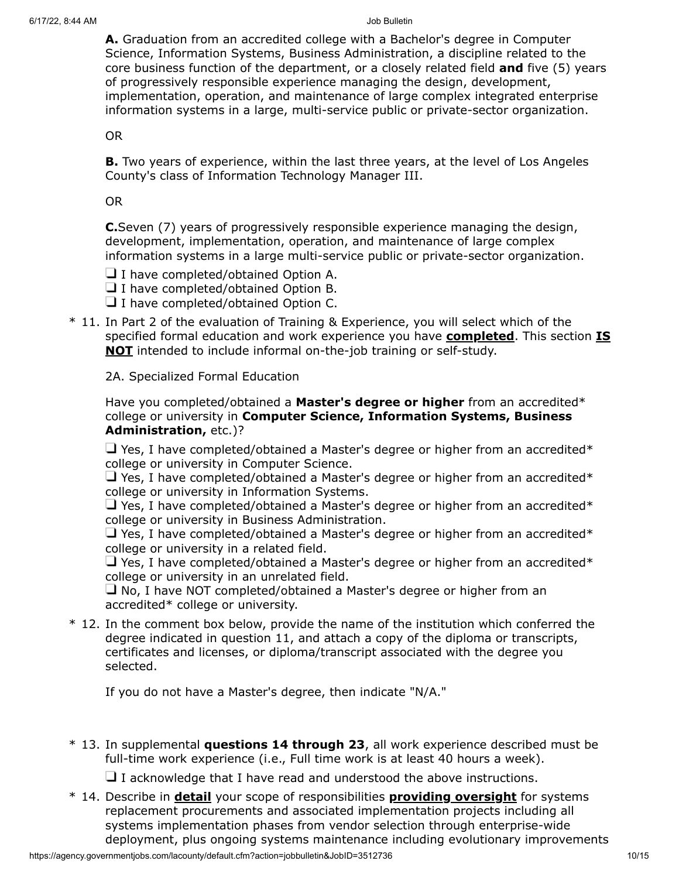**A.** Graduation from an accredited college with a Bachelor's degree in Computer Science, Information Systems, Business Administration, a discipline related to the core business function of the department, or a closely related field **and** five (5) years of progressively responsible experience managing the design, development, implementation, operation, and maintenance of large complex integrated enterprise information systems in a large, multi-service public or private-sector organization.

OR

**B.** Two years of experience, within the last three years, at the level of Los Angeles County's class of Information Technology Manager III.

### OR

**C.**Seven (7) years of progressively responsible experience managing the design, development, implementation, operation, and maintenance of large complex information systems in a large multi-service public or private-sector organization.

 $\Box$  I have completed/obtained Option A.

□ I have completed/obtained Option B.

 $\Box$  I have completed/obtained Option C.

\* 11. In Part 2 of the evaluation of Training & Experience, you will select which of the specified formal education and work experience you have **completed**. This section **IS NOT** intended to include informal on-the-job training or self-study.

2A. Specialized Formal Education

Have you completed/obtained a **Master's degree or higher** from an accredited\* college or university in **Computer Science, Information Systems, Business Administration,** etc.)?

 $\Box$  Yes, I have completed/obtained a Master's degree or higher from an accredited\* college or university in Computer Science.

 $\Box$  Yes, I have completed/obtained a Master's degree or higher from an accredited\* college or university in Information Systems.

 $\Box$  Yes, I have completed/obtained a Master's degree or higher from an accredited\* college or university in Business Administration.

 $\Box$  Yes, I have completed/obtained a Master's degree or higher from an accredited\* college or university in a related field.

 $\Box$  Yes, I have completed/obtained a Master's degree or higher from an accredited\* college or university in an unrelated field.

 $\Box$  No, I have NOT completed/obtained a Master's degree or higher from an accredited\* college or university.

\* 12. In the comment box below, provide the name of the institution which conferred the degree indicated in question 11, and attach a copy of the diploma or transcripts, certificates and licenses, or diploma/transcript associated with the degree you selected.

If you do not have a Master's degree, then indicate "N/A."

\* 13. In supplemental **questions 14 through 23**, all work experience described must be full-time work experience (i.e., Full time work is at least 40 hours a week).

 $\Box$  I acknowledge that I have read and understood the above instructions.

\* 14. Describe in **detail** your scope of responsibilities **providing oversight** for systems replacement procurements and associated implementation projects including all systems implementation phases from vendor selection through enterprise-wide deployment, plus ongoing systems maintenance including evolutionary improvements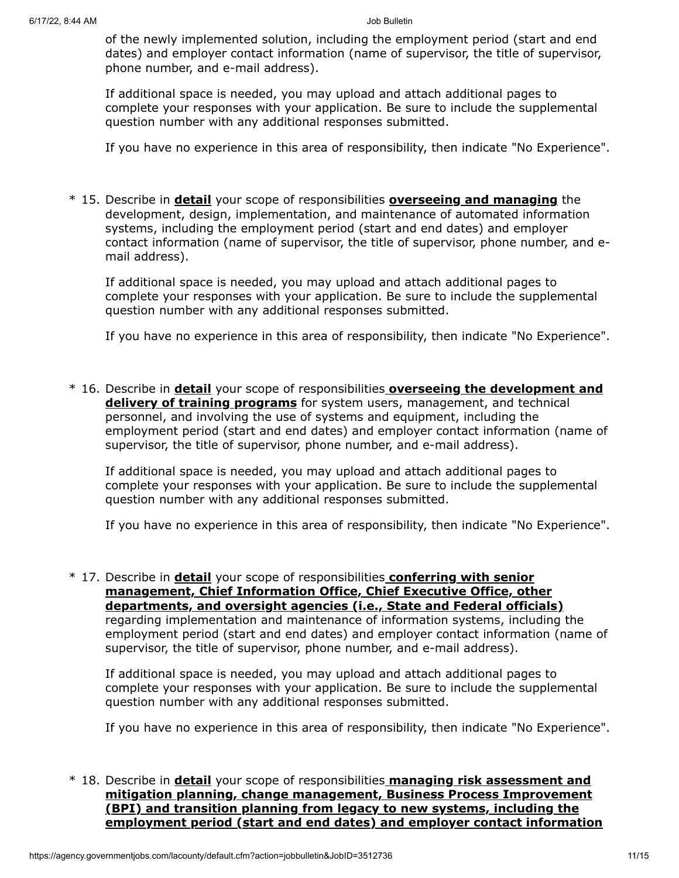of the newly implemented solution, including the employment period (start and end dates) and employer contact information (name of supervisor, the title of supervisor, phone number, and e-mail address).

If additional space is needed, you may upload and attach additional pages to complete your responses with your application. Be sure to include the supplemental question number with any additional responses submitted.

If you have no experience in this area of responsibility, then indicate "No Experience".

\* 15. Describe in **detail** your scope of responsibilities **overseeing and managing** the development, design, implementation, and maintenance of automated information systems, including the employment period (start and end dates) and employer contact information (name of supervisor, the title of supervisor, phone number, and email address).

If additional space is needed, you may upload and attach additional pages to complete your responses with your application. Be sure to include the supplemental question number with any additional responses submitted.

If you have no experience in this area of responsibility, then indicate "No Experience".

\* 16. Describe in **detail** your scope of responsibilities **overseeing the development and delivery of training programs** for system users, management, and technical personnel, and involving the use of systems and equipment, including the employment period (start and end dates) and employer contact information (name of supervisor, the title of supervisor, phone number, and e-mail address).

If additional space is needed, you may upload and attach additional pages to complete your responses with your application. Be sure to include the supplemental question number with any additional responses submitted.

If you have no experience in this area of responsibility, then indicate "No Experience".

\* 17. Describe in **detail** your scope of responsibilities **conferring with senior management, Chief Information Office, Chief Executive Office, other departments, and oversight agencies (i.e., State and Federal officials)** regarding implementation and maintenance of information systems, including the employment period (start and end dates) and employer contact information (name of supervisor, the title of supervisor, phone number, and e-mail address).

If additional space is needed, you may upload and attach additional pages to complete your responses with your application. Be sure to include the supplemental question number with any additional responses submitted.

If you have no experience in this area of responsibility, then indicate "No Experience".

\* 18. Describe in **detail** your scope of responsibilities **managing risk assessment and mitigation planning, change management, Business Process Improvement (BPI) and transition planning from legacy to new systems, including the employment period (start and end dates) and employer contact information**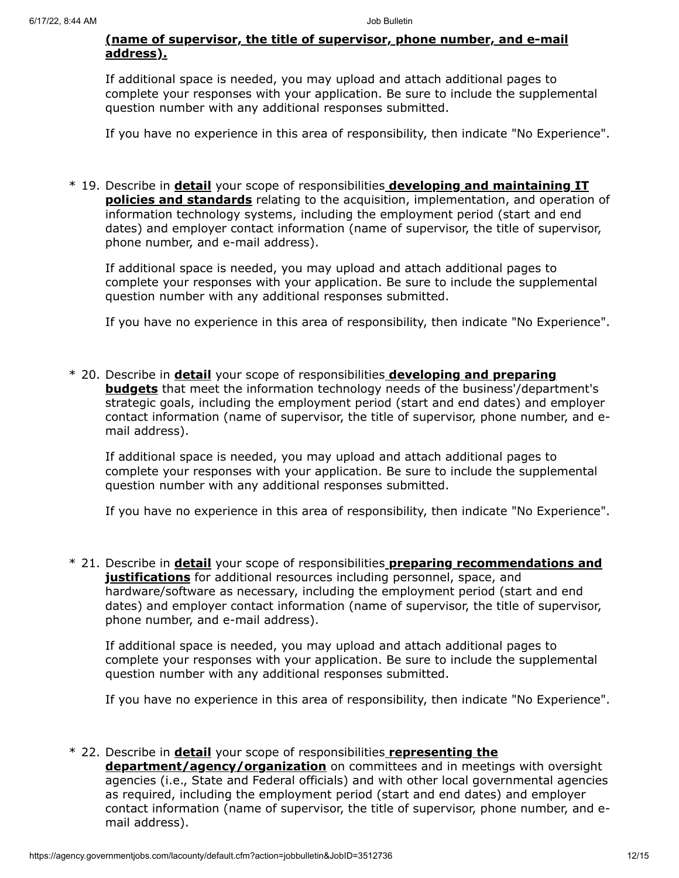### **(name of supervisor, the title of supervisor, phone number, and e-mail address).**

If additional space is needed, you may upload and attach additional pages to complete your responses with your application. Be sure to include the supplemental question number with any additional responses submitted.

If you have no experience in this area of responsibility, then indicate "No Experience".

\* 19. Describe in **detail** your scope of responsibilities **developing and maintaining IT policies and standards** relating to the acquisition, implementation, and operation of information technology systems, including the employment period (start and end dates) and employer contact information (name of supervisor, the title of supervisor, phone number, and e-mail address).

If additional space is needed, you may upload and attach additional pages to complete your responses with your application. Be sure to include the supplemental question number with any additional responses submitted.

If you have no experience in this area of responsibility, then indicate "No Experience".

\* 20. Describe in **detail** your scope of responsibilities **developing and preparing budgets** that meet the information technology needs of the business'/department's strategic goals, including the employment period (start and end dates) and employer contact information (name of supervisor, the title of supervisor, phone number, and email address).

If additional space is needed, you may upload and attach additional pages to complete your responses with your application. Be sure to include the supplemental question number with any additional responses submitted.

If you have no experience in this area of responsibility, then indicate "No Experience".

\* 21. Describe in **detail** your scope of responsibilities **preparing recommendations and justifications** for additional resources including personnel, space, and hardware/software as necessary, including the employment period (start and end dates) and employer contact information (name of supervisor, the title of supervisor, phone number, and e-mail address).

If additional space is needed, you may upload and attach additional pages to complete your responses with your application. Be sure to include the supplemental question number with any additional responses submitted.

If you have no experience in this area of responsibility, then indicate "No Experience".

#### \* 22. Describe in **detail** your scope of responsibilities **representing the**

**department/agency/organization** on committees and in meetings with oversight agencies (i.e., State and Federal officials) and with other local governmental agencies as required, including the employment period (start and end dates) and employer contact information (name of supervisor, the title of supervisor, phone number, and email address).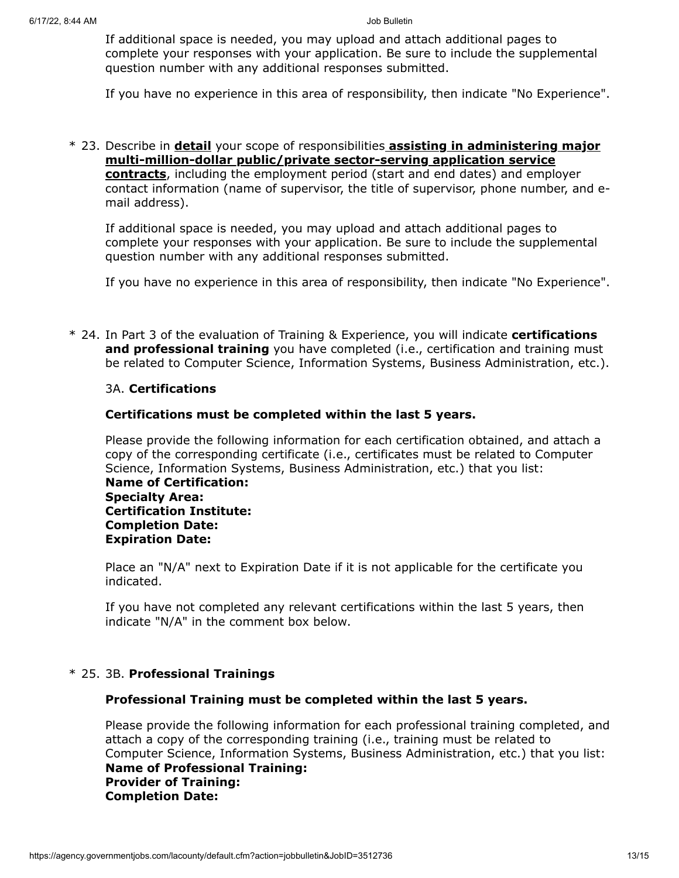If additional space is needed, you may upload and attach additional pages to complete your responses with your application. Be sure to include the supplemental question number with any additional responses submitted.

If you have no experience in this area of responsibility, then indicate "No Experience".

\* 23. Describe in **detail** your scope of responsibilities **assisting in administering major multi-million-dollar public/private sector-serving application service contracts**, including the employment period (start and end dates) and employer contact information (name of supervisor, the title of supervisor, phone number, and email address).

If additional space is needed, you may upload and attach additional pages to complete your responses with your application. Be sure to include the supplemental question number with any additional responses submitted.

If you have no experience in this area of responsibility, then indicate "No Experience".

\* 24. In Part 3 of the evaluation of Training & Experience, you will indicate **certifications and professional training** you have completed (i.e., certification and training must be related to Computer Science, Information Systems, Business Administration, etc.).

### 3A. **Certifications**

### **Certifications must be completed within the last 5 years.**

Please provide the following information for each certification obtained, and attach a copy of the corresponding certificate (i.e., certificates must be related to Computer Science, Information Systems, Business Administration, etc.) that you list: **Name of Certification: Specialty Area: Certification Institute: Completion Date: Expiration Date:**

Place an "N/A" next to Expiration Date if it is not applicable for the certificate you indicated.

If you have not completed any relevant certifications within the last 5 years, then indicate "N/A" in the comment box below.

#### \* 25. 3B. **Professional Trainings**

#### **Professional Training must be completed within the last 5 years.**

Please provide the following information for each professional training completed, and attach a copy of the corresponding training (i.e., training must be related to Computer Science, Information Systems, Business Administration, etc.) that you list: **Name of Professional Training: Provider of Training: Completion Date:**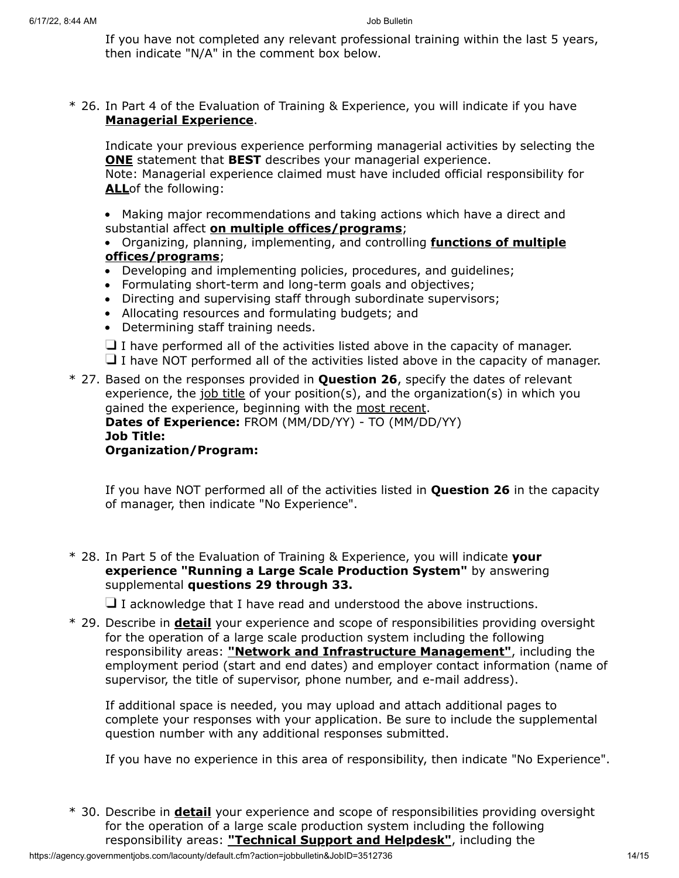If you have not completed any relevant professional training within the last 5 years, then indicate "N/A" in the comment box below.

\* 26. In Part 4 of the Evaluation of Training & Experience, you will indicate if you have **Managerial Experience**.

Indicate your previous experience performing managerial activities by selecting the **ONE** statement that **BEST** describes your managerial experience. Note: Managerial experience claimed must have included official responsibility for **ALL**of the following:

Making major recommendations and taking actions which have a direct and substantial affect **on multiple offices/programs**;

- Organizing, planning, implementing, and controlling **functions of multiple offices/programs**;
- Developing and implementing policies, procedures, and guidelines;
- Formulating short-term and long-term goals and objectives;
- Directing and supervising staff through subordinate supervisors;
- Allocating resources and formulating budgets; and
- Determining staff training needs.

 $\Box$  I have performed all of the activities listed above in the capacity of manager.  $\Box$  I have NOT performed all of the activities listed above in the capacity of manager.

\* 27. Based on the responses provided in **Question 26**, specify the dates of relevant experience, the job title of your position(s), and the organization(s) in which you gained the experience, beginning with the most recent. **Dates of Experience:** FROM (MM/DD/YY) - TO (MM/DD/YY) **Job Title: Organization/Program:**

If you have NOT performed all of the activities listed in **Question 26** in the capacity of manager, then indicate "No Experience".

\* 28. In Part 5 of the Evaluation of Training & Experience, you will indicate **your experience "Running a Large Scale Production System"** by answering supplemental **questions 29 through 33.**

 $\Box$  I acknowledge that I have read and understood the above instructions.

\* 29. Describe in **detail** your experience and scope of responsibilities providing oversight for the operation of a large scale production system including the following responsibility areas: **"Network and Infrastructure Management"**, including the employment period (start and end dates) and employer contact information (name of supervisor, the title of supervisor, phone number, and e-mail address).

If additional space is needed, you may upload and attach additional pages to complete your responses with your application. Be sure to include the supplemental question number with any additional responses submitted.

If you have no experience in this area of responsibility, then indicate "No Experience".

\* 30. Describe in **detail** your experience and scope of responsibilities providing oversight for the operation of a large scale production system including the following responsibility areas: **"Technical Support and Helpdesk"**, including the